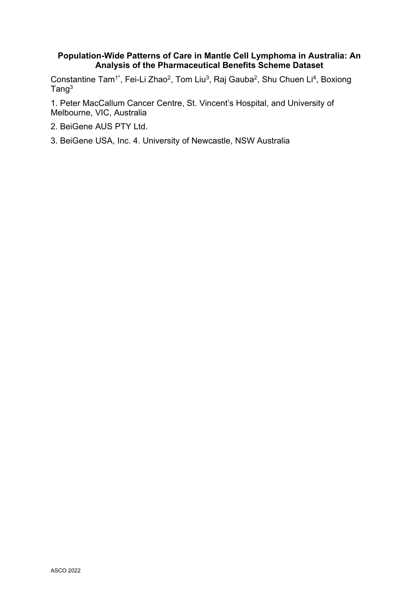## **Population-Wide Patterns of Care in Mantle Cell Lymphoma in Australia: An Analysis of the Pharmaceutical Benefits Scheme Dataset**

Constantine Tam<sup>1\*</sup>, Fei-Li Zhao<sup>2</sup>, Tom Liu<sup>3</sup>, Raj Gauba<sup>2</sup>, Shu Chuen Li<sup>4</sup>, Boxiong Tang<sup>3</sup>

1. Peter MacCallum Cancer Centre, St. Vincent's Hospital, and University of Melbourne, VIC, Australia

- 2. BeiGene AUS PTY Ltd.
- 3. BeiGene USA, Inc. 4. University of Newcastle, NSW Australia